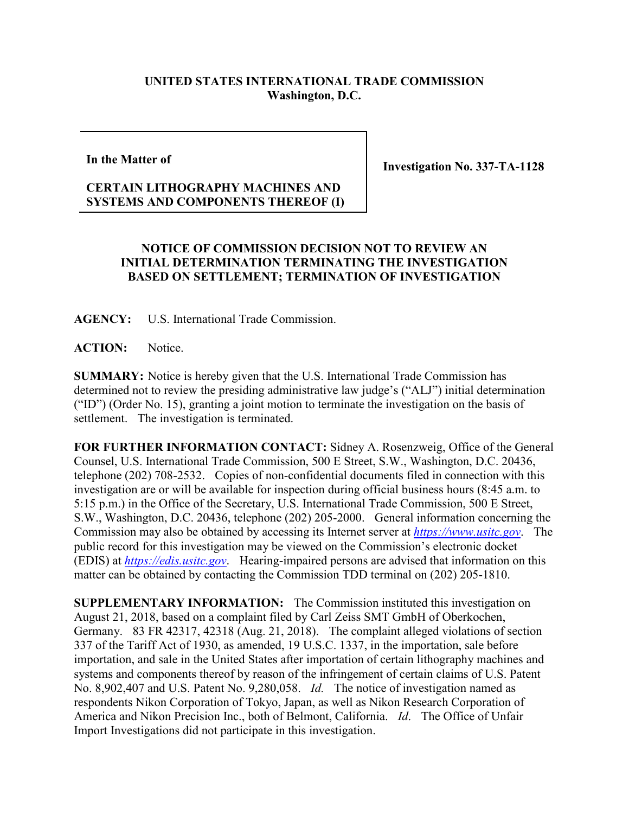## **UNITED STATES INTERNATIONAL TRADE COMMISSION Washington, D.C.**

## **In the Matter of**

**Investigation No. 337-TA-1128**

## **CERTAIN LITHOGRAPHY MACHINES AND SYSTEMS AND COMPONENTS THEREOF (I)**

## **NOTICE OF COMMISSION DECISION NOT TO REVIEW AN INITIAL DETERMINATION TERMINATING THE INVESTIGATION BASED ON SETTLEMENT; TERMINATION OF INVESTIGATION**

**AGENCY:** U.S. International Trade Commission.

**ACTION:** Notice.

**SUMMARY:** Notice is hereby given that the U.S. International Trade Commission has determined not to review the presiding administrative law judge's ("ALJ") initial determination ("ID") (Order No. 15), granting a joint motion to terminate the investigation on the basis of settlement. The investigation is terminated.

**FOR FURTHER INFORMATION CONTACT:** Sidney A. Rosenzweig, Office of the General Counsel, U.S. International Trade Commission, 500 E Street, S.W., Washington, D.C. 20436, telephone (202) 708-2532. Copies of non-confidential documents filed in connection with this investigation are or will be available for inspection during official business hours (8:45 a.m. to 5:15 p.m.) in the Office of the Secretary, U.S. International Trade Commission, 500 E Street, S.W., Washington, D.C. 20436, telephone (202) 205-2000. General information concerning the Commission may also be obtained by accessing its Internet server at *[https://www.usitc.gov](https://www.usitc.gov/)*. The public record for this investigation may be viewed on the Commission's electronic docket (EDIS) at *[https://edis.usitc.gov](https://edis.usitc.gov/)*. Hearing-impaired persons are advised that information on this matter can be obtained by contacting the Commission TDD terminal on (202) 205-1810.

**SUPPLEMENTARY INFORMATION:** The Commission instituted this investigation on August 21, 2018, based on a complaint filed by Carl Zeiss SMT GmbH of Oberkochen, Germany. 83 FR 42317, 42318 (Aug. 21, 2018). The complaint alleged violations of section 337 of the Tariff Act of 1930, as amended, 19 U.S.C. 1337, in the importation, sale before importation, and sale in the United States after importation of certain lithography machines and systems and components thereof by reason of the infringement of certain claims of U.S. Patent No. 8,902,407 and U.S. Patent No. 9,280,058. *Id.* The notice of investigation named as respondents Nikon Corporation of Tokyo, Japan, as well as Nikon Research Corporation of America and Nikon Precision Inc., both of Belmont, California. *Id*. The Office of Unfair Import Investigations did not participate in this investigation.